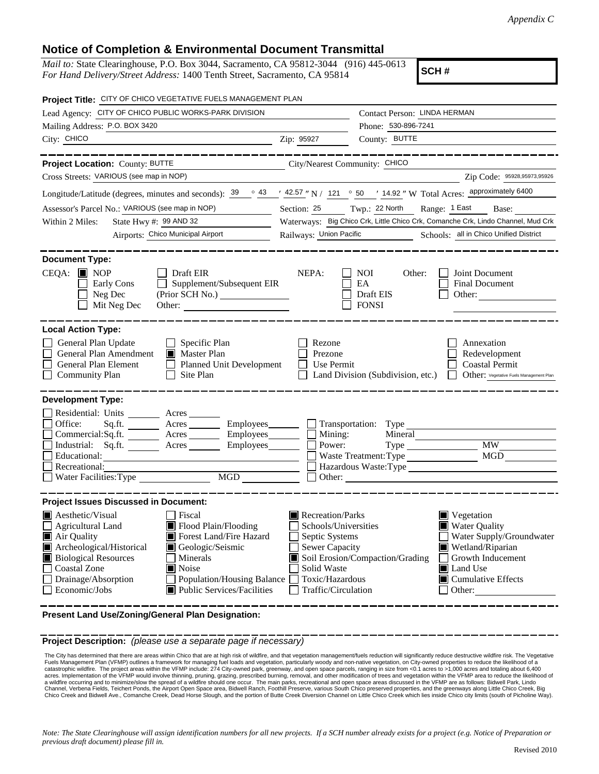## **Notice of Completion & Environmental Document Transmittal**

*Mail to:* State Clearinghouse, P.O. Box 3044, Sacramento, CA 95812-3044 (916) 445-0613 *For Hand Delivery/Street Address:* 1400 Tenth Street, Sacramento, CA 95814

**SCH #**

| Project Title: CITY OF CHICO VEGETATIVE FUELS MANAGEMENT PLAN                                                                                                                                                                                                                                                                                                                  |                                                                                                                                       |                                                                                                                                                                                                       |  |  |  |
|--------------------------------------------------------------------------------------------------------------------------------------------------------------------------------------------------------------------------------------------------------------------------------------------------------------------------------------------------------------------------------|---------------------------------------------------------------------------------------------------------------------------------------|-------------------------------------------------------------------------------------------------------------------------------------------------------------------------------------------------------|--|--|--|
| Lead Agency: CITY OF CHICO PUBLIC WORKS-PARK DIVISION                                                                                                                                                                                                                                                                                                                          |                                                                                                                                       | Contact Person: LINDA HERMAN                                                                                                                                                                          |  |  |  |
| Mailing Address: P.O. BOX 3420                                                                                                                                                                                                                                                                                                                                                 |                                                                                                                                       | Phone: 530-896-7241                                                                                                                                                                                   |  |  |  |
| City: CHICO                                                                                                                                                                                                                                                                                                                                                                    | Zip: 95927                                                                                                                            | County: BUTTE                                                                                                                                                                                         |  |  |  |
| Project Location: County: BUTTE<br><u> 1990 - Johann Barbara, martx</u>                                                                                                                                                                                                                                                                                                        | City/Nearest Community: CHICO                                                                                                         |                                                                                                                                                                                                       |  |  |  |
| Cross Streets: VARIOUS (see map in NOP)                                                                                                                                                                                                                                                                                                                                        |                                                                                                                                       | Zip Code: 95928,95973,95926                                                                                                                                                                           |  |  |  |
| Longitude/Latitude (degrees, minutes and seconds): $\frac{39}{9}$ $\frac{43}{42.57}$ " N / 121 $\degree$ 50 $\degree$ 14.92 " W Total Acres: approximately 6400                                                                                                                                                                                                                |                                                                                                                                       |                                                                                                                                                                                                       |  |  |  |
| Assessor's Parcel No.: VARIOUS (see map in NOP)                                                                                                                                                                                                                                                                                                                                |                                                                                                                                       | Section: 25 Twp.: 22 North Range: 1 East Base:                                                                                                                                                        |  |  |  |
| State Hwy #: 99 AND 32<br>Within 2 Miles:                                                                                                                                                                                                                                                                                                                                      | Waterways: Big Chico Crk, Little Chico Crk, Comanche Crk, Lindo Channel, Mud Crk                                                      |                                                                                                                                                                                                       |  |  |  |
| Airports: Chico Municipal Airport                                                                                                                                                                                                                                                                                                                                              | Railways: Union Pacific<br>Schools: all in Chico Unified District                                                                     |                                                                                                                                                                                                       |  |  |  |
|                                                                                                                                                                                                                                                                                                                                                                                |                                                                                                                                       |                                                                                                                                                                                                       |  |  |  |
| <b>Document Type:</b><br>$CEQA:$ MOP<br>Draft EIR<br>Supplement/Subsequent EIR<br>Early Cons<br>Neg Dec<br>(Prior SCH No.)<br>Mit Neg Dec<br>Other:                                                                                                                                                                                                                            | NEPA:                                                                                                                                 | <b>NOI</b><br>Joint Document<br>Other:<br>EA<br>Final Document<br>Draft EIS<br>Other:<br><b>FONSI</b>                                                                                                 |  |  |  |
| <b>Local Action Type:</b>                                                                                                                                                                                                                                                                                                                                                      |                                                                                                                                       |                                                                                                                                                                                                       |  |  |  |
| General Plan Update<br>Specific Plan<br>General Plan Amendment<br>Master Plan<br>General Plan Element<br><b>Planned Unit Development</b><br><b>Community Plan</b><br>Site Plan                                                                                                                                                                                                 | Rezone<br>Prezone<br>Use Permit                                                                                                       | Annexation<br>Redevelopment<br><b>Coastal Permit</b><br>Other: Vegetative Fuels Management Plan<br>Land Division (Subdivision, etc.)                                                                  |  |  |  |
| <b>Development Type:</b><br>Residential: Units ________ Acres _______<br>Office:<br>Acres _________ Employees________<br>Sq.ft.<br>Commercial:Sq.ft. Acres Employees<br>Industrial: Sq.ft. Acres<br>Employees_______<br>Educational:<br>Recreational:<br>MGD<br>Water Facilities: Type                                                                                         | Power:                                                                                                                                | Mining:<br>Mineral<br>MW<br>MGD<br>Waste Treatment: Type<br>Other:                                                                                                                                    |  |  |  |
| <b>Project Issues Discussed in Document:</b>                                                                                                                                                                                                                                                                                                                                   |                                                                                                                                       |                                                                                                                                                                                                       |  |  |  |
| $\blacksquare$ Aesthetic/Visual<br>Fiscal<br>Flood Plain/Flooding<br>Agricultural Land<br>Air Quality<br>Forest Land/Fire Hazard<br>Archeological/Historical<br>Geologic/Seismic<br><b>Biological Resources</b><br>Minerals<br><b>Coastal Zone</b><br>$\blacksquare$ Noise<br>Drainage/Absorption<br>Population/Housing Balance<br>Public Services/Facilities<br>Economic/Jobs | Recreation/Parks<br>Schools/Universities<br>Septic Systems<br>Sewer Capacity<br>Solid Waste<br>Toxic/Hazardous<br>Traffic/Circulation | Vegetation<br><b>Water Quality</b><br>Water Supply/Groundwater<br>Wetland/Riparian<br>Soil Erosion/Compaction/Grading<br>Growth Inducement<br>Land Use<br>$\blacksquare$ Cumulative Effects<br>Other: |  |  |  |

**Present Land Use/Zoning/General Plan Designation:**

**Project Description:** *(please use a separate page if necessary)*

The City has determined that there are areas within Chico that are at high risk of wildfire, and that vegetation management/fuels reduction will significantly reduce destructive wildfire risk. The Veget<br>Fuels Management Pl The City has determined that there are areas within Chico that are at high risk of wildfire, and that vegetation management/fuels reduction will significantly reduce destructive wildfire risk. The Vegetative acres. Implementation of the VFMP would involve thinning, pruning, grazing, prescribed burning, removal, and other modification of trees and vegetation within the VFMP area to reduce the likelihood of acres. a wildfire occurring and to minimize/slow the spread of a wildfire should one occur. The main parks, recreational and open space areas discussed in the VFMP are as follows: Bidwell Park, Lindo<br>Channel, Verbena Fields, Teic Chico Creek and Bidwell Ave., Comanche Creek, Dead Horse Slough, and the portion of Butte Creek Diversion Channel on Little Chico Creek which lies inside Chico city limits (south of Picholine Way).

*Note: The State Clearinghouse will assign identification numbers for all new projects. If a SCH number already exists for a project (e.g. Notice of Preparation or previous draft document) please fill in.*